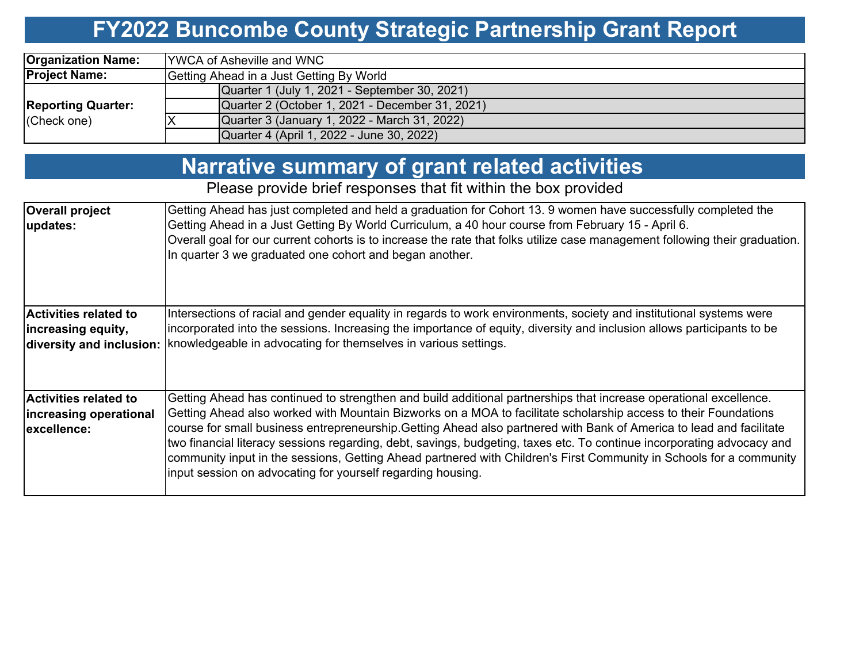# **FY2022 Buncombe County Strategic Partnership Grant Report**

| <b>Organization Name:</b> | <b>IYWCA of Asheville and WNC</b>               |  |  |  |  |  |  |  |
|---------------------------|-------------------------------------------------|--|--|--|--|--|--|--|
| <b>Project Name:</b>      | Getting Ahead in a Just Getting By World        |  |  |  |  |  |  |  |
|                           | Quarter 1 (July 1, 2021 - September 30, 2021)   |  |  |  |  |  |  |  |
| <b>Reporting Quarter:</b> | Quarter 2 (October 1, 2021 - December 31, 2021) |  |  |  |  |  |  |  |
| (Check one)               | Quarter 3 (January 1, 2022 - March 31, 2022)    |  |  |  |  |  |  |  |
|                           | Quarter 4 (April 1, 2022 - June 30, 2022)       |  |  |  |  |  |  |  |

| <b>Narrative summary of grant related activities</b> |  |  |
|------------------------------------------------------|--|--|
|                                                      |  |  |

Please provide brief responses that fit within the box provided

| <b>Overall project</b><br>updates:                                             | Getting Ahead has just completed and held a graduation for Cohort 13. 9 women have successfully completed the<br>Getting Ahead in a Just Getting By World Curriculum, a 40 hour course from February 15 - April 6.<br>Overall goal for our current cohorts is to increase the rate that folks utilize case management following their graduation.<br>In quarter 3 we graduated one cohort and began another.                                                                                                                                                                                                                                                                |
|--------------------------------------------------------------------------------|-----------------------------------------------------------------------------------------------------------------------------------------------------------------------------------------------------------------------------------------------------------------------------------------------------------------------------------------------------------------------------------------------------------------------------------------------------------------------------------------------------------------------------------------------------------------------------------------------------------------------------------------------------------------------------|
| <b>Activities related to</b><br>increasing equity,<br>diversity and inclusion: | Intersections of racial and gender equality in regards to work environments, society and institutional systems were<br>Incorporated into the sessions. Increasing the importance of equity, diversity and inclusion allows participants to be<br>knowledgeable in advocating for themselves in various settings.                                                                                                                                                                                                                                                                                                                                                            |
| Activities related to<br>increasing operational<br>excellence:                 | Getting Ahead has continued to strengthen and build additional partnerships that increase operational excellence.<br>Getting Ahead also worked with Mountain Bizworks on a MOA to facilitate scholarship access to their Foundations<br>course for small business entrepreneurship.Getting Ahead also partnered with Bank of America to lead and facilitate<br>two financial literacy sessions regarding, debt, savings, budgeting, taxes etc. To continue incorporating advocacy and<br>community input in the sessions, Getting Ahead partnered with Children's First Community in Schools for a community<br>input session on advocating for yourself regarding housing. |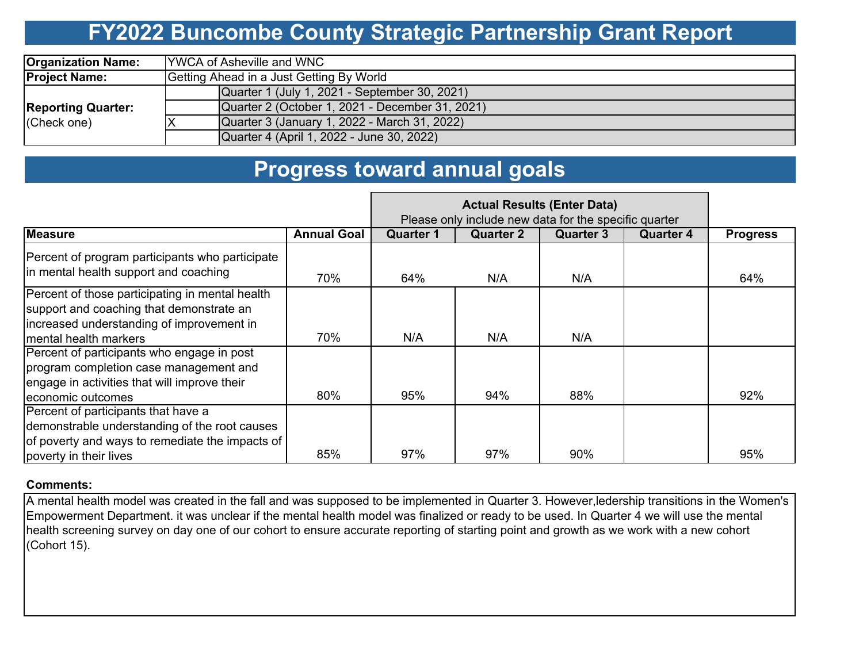### **FY2022 Buncombe County Strategic Partnership Grant Report**

| <b>Organization Name:</b> | <b>IYWCA of Asheville and WNC</b>               |  |  |  |  |  |  |  |
|---------------------------|-------------------------------------------------|--|--|--|--|--|--|--|
| <b>Project Name:</b>      | Getting Ahead in a Just Getting By World        |  |  |  |  |  |  |  |
|                           | Quarter 1 (July 1, 2021 - September 30, 2021)   |  |  |  |  |  |  |  |
| <b>Reporting Quarter:</b> | Quarter 2 (October 1, 2021 - December 31, 2021) |  |  |  |  |  |  |  |
| (Check one)               | Quarter 3 (January 1, 2022 - March 31, 2022)    |  |  |  |  |  |  |  |
|                           | Quarter 4 (April 1, 2022 - June 30, 2022)       |  |  |  |  |  |  |  |

### **Progress toward annual goals**

|                                                                                                                                                                   |                    | Please only include new data for the specific quarter |           |                  |                  |                 |
|-------------------------------------------------------------------------------------------------------------------------------------------------------------------|--------------------|-------------------------------------------------------|-----------|------------------|------------------|-----------------|
| <b>Measure</b>                                                                                                                                                    | <b>Annual Goal</b> | Quarter 1                                             | Quarter 2 | <b>Quarter 3</b> | <b>Quarter 4</b> | <b>Progress</b> |
| Percent of program participants who participate<br>in mental health support and coaching                                                                          | 70%                | 64%                                                   | N/A       | N/A              |                  | 64%             |
| Percent of those participating in mental health<br>support and coaching that demonstrate an<br>increased understanding of improvement in<br>mental health markers | 70%                | N/A                                                   | N/A       | N/A              |                  |                 |
| Percent of participants who engage in post<br>program completion case management and<br>engage in activities that will improve their<br>economic outcomes         | 80%                | 95%                                                   | 94%       | 88%              |                  | 92%             |
| Percent of participants that have a<br>demonstrable understanding of the root causes<br>of poverty and ways to remediate the impacts of<br>poverty in their lives | 85%                | 97%                                                   | 97%       | 90%              |                  | 95%             |

### **Comments:**

A mental health model was created in the fall and was supposed to be implemented in Quarter 3. However,ledership transitions in the Women's Empowerment Department. it was unclear if the mental health model was finalized or ready to be used. In Quarter 4 we will use the mental health screening survey on day one of our cohort to ensure accurate reporting of starting point and growth as we work with a new cohort (Cohort 15).